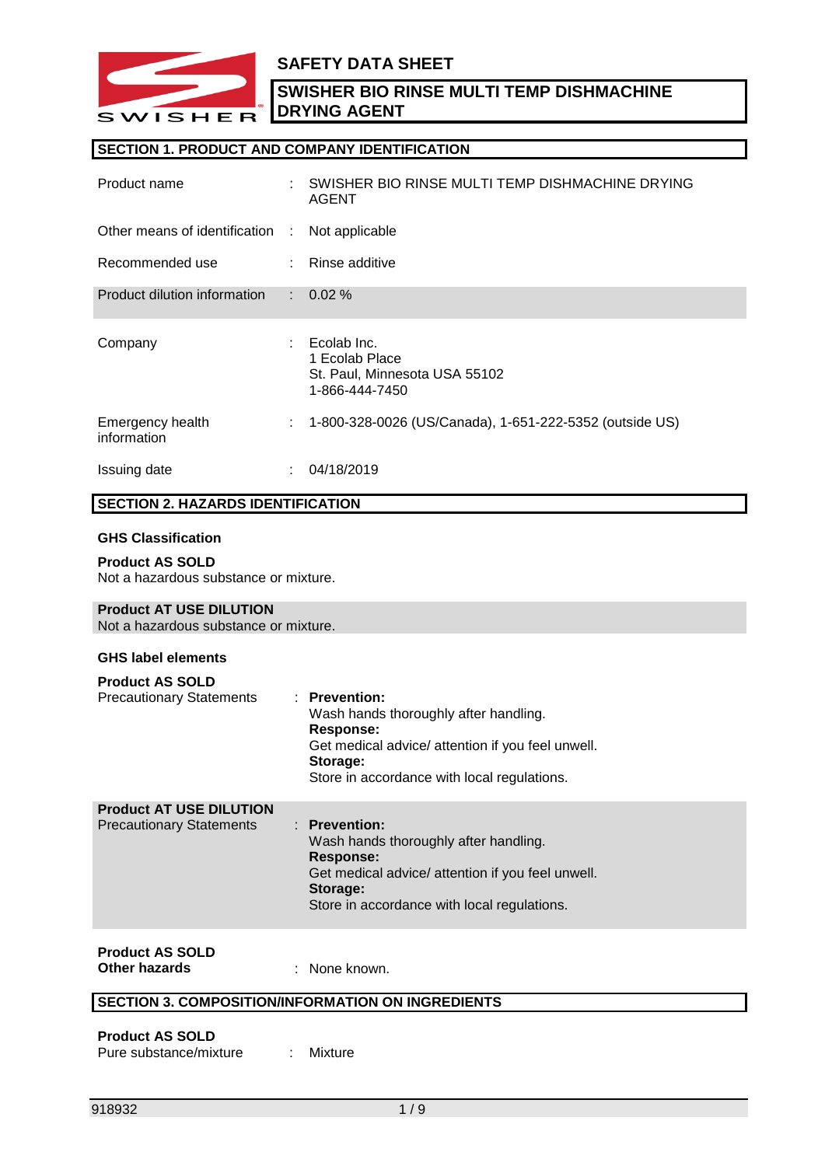

### **SAFETY DATA SHEET**

**SWISHER BIO RINSE MULTI TEMP DISHMACHINE DRYING AGENT**

#### **SECTION 1. PRODUCT AND COMPANY IDENTIFICATION**

| Product name                    | ÷  | SWISHER BIO RINSE MULTI TEMP DISHMACHINE DRYING<br><b>AGENT</b>                  |
|---------------------------------|----|----------------------------------------------------------------------------------|
| Other means of identification : |    | Not applicable                                                                   |
| Recommended use                 | ÷. | Rinse additive                                                                   |
| Product dilution information    | t. | $0.02 \%$                                                                        |
| Company                         |    | Ecolab Inc.<br>1 Ecolab Place<br>St. Paul, Minnesota USA 55102<br>1-866-444-7450 |
| Emergency health<br>information | ÷  | 1-800-328-0026 (US/Canada), 1-651-222-5352 (outside US)                          |
| Issuing date                    |    | 04/18/2019                                                                       |

#### **SECTION 2. HAZARDS IDENTIFICATION**

#### **GHS Classification**

# **Product AS SOLD**

Not a hazardous substance or mixture.

#### **Product AT USE DILUTION**

Not a hazardous substance or mixture.

#### **GHS label elements**

| <b>Precautionary Statements</b>                                   | Wash hands thoroughly after handling.<br>Response:<br>Get medical advice/ attention if you feel unwell.<br>Storage:<br>Store in accordance with local regulations.                    |
|-------------------------------------------------------------------|---------------------------------------------------------------------------------------------------------------------------------------------------------------------------------------|
| <b>Product AT USE DILUTION</b><br><b>Precautionary Statements</b> | $:$ Prevention:<br>Wash hands thoroughly after handling.<br>Response:<br>Get medical advice/ attention if you feel unwell.<br>Storage:<br>Store in accordance with local regulations. |

#### **Product AS SOLD Other hazards** : None known.

#### **SECTION 3. COMPOSITION/INFORMATION ON INGREDIENTS**

#### **Product AS SOLD** Pure substance/mixture : Mixture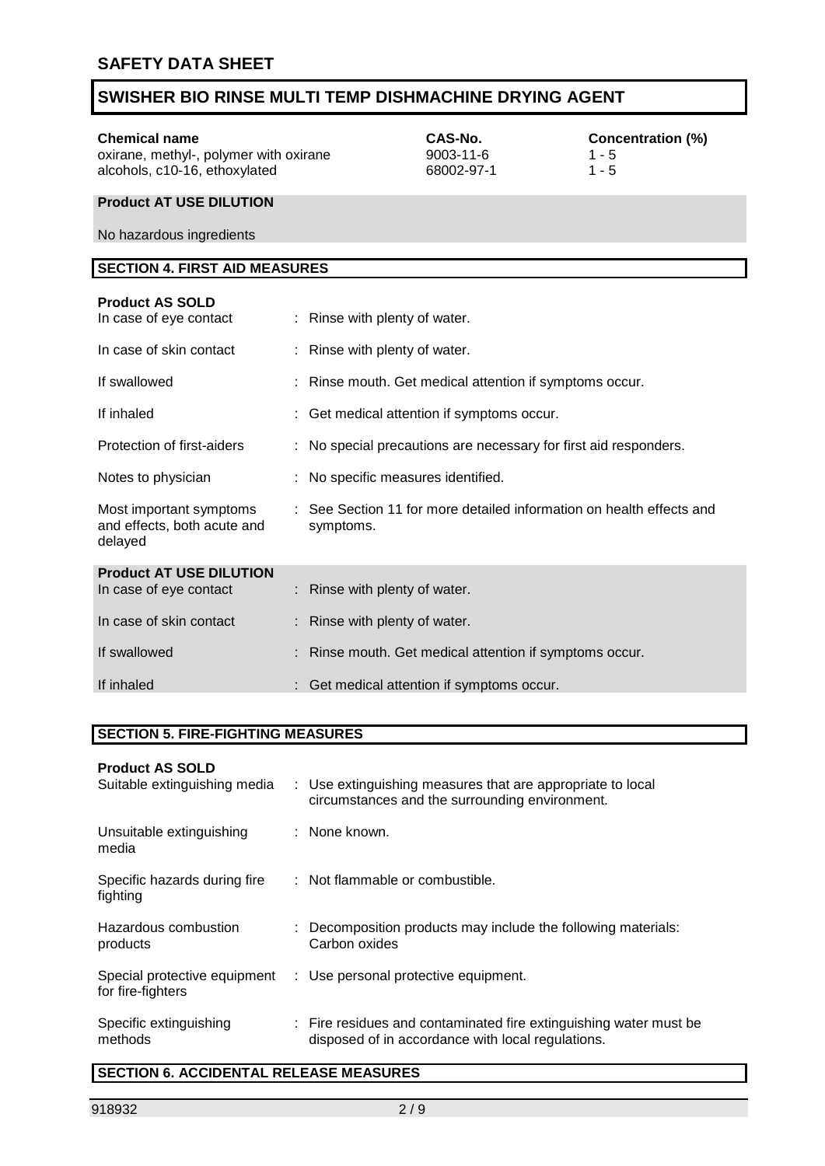**Chemical name CAS-No. CAS-No. CONCENTER CONCENTER CONCENTER (%)** Oxirane, methyl-, polymer with oxirane **CONCENTER 1** - 5 oxirane, methyl-, polymer with oxirane 9003-11-6 1 - 5<br>alcohols, c10-16, ethoxylated 68002-97-1 1 - 5 alcohols, c10-16, ethoxylated

#### **Product AT USE DILUTION**

No hazardous ingredients

### **SECTION 4. FIRST AID MEASURES**

| <b>Product AS SOLD</b><br>In case of eye contact                  | : Rinse with plenty of water.                                                     |
|-------------------------------------------------------------------|-----------------------------------------------------------------------------------|
| In case of skin contact                                           | : Rinse with plenty of water.                                                     |
| If swallowed                                                      | : Rinse mouth. Get medical attention if symptoms occur.                           |
| If inhaled                                                        | : Get medical attention if symptoms occur.                                        |
| Protection of first-aiders                                        | : No special precautions are necessary for first aid responders.                  |
| Notes to physician                                                | : No specific measures identified.                                                |
| Most important symptoms<br>and effects, both acute and<br>delayed | : See Section 11 for more detailed information on health effects and<br>symptoms. |
| <b>Product AT USE DILUTION</b><br>In case of eye contact          | : Rinse with plenty of water.                                                     |
| In case of skin contact                                           | : Rinse with plenty of water.                                                     |
| If swallowed                                                      | : Rinse mouth. Get medical attention if symptoms occur.                           |
| If inhaled                                                        | : Get medical attention if symptoms occur.                                        |

#### **SECTION 5. FIRE-FIGHTING MEASURES**

#### **Product AS SOLD**

| Suitable extinguishing media                      | : Use extinguishing measures that are appropriate to local<br>circumstances and the surrounding environment.           |
|---------------------------------------------------|------------------------------------------------------------------------------------------------------------------------|
| Unsuitable extinguishing<br>media                 | : None known.                                                                                                          |
| Specific hazards during fire<br>fighting          | : Not flammable or combustible.                                                                                        |
| Hazardous combustion<br>products                  | : Decomposition products may include the following materials:<br>Carbon oxides                                         |
| Special protective equipment<br>for fire-fighters | : Use personal protective equipment.                                                                                   |
| Specific extinguishing<br>methods                 | : Fire residues and contaminated fire extinguishing water must be<br>disposed of in accordance with local regulations. |

### **SECTION 6. ACCIDENTAL RELEASE MEASURES**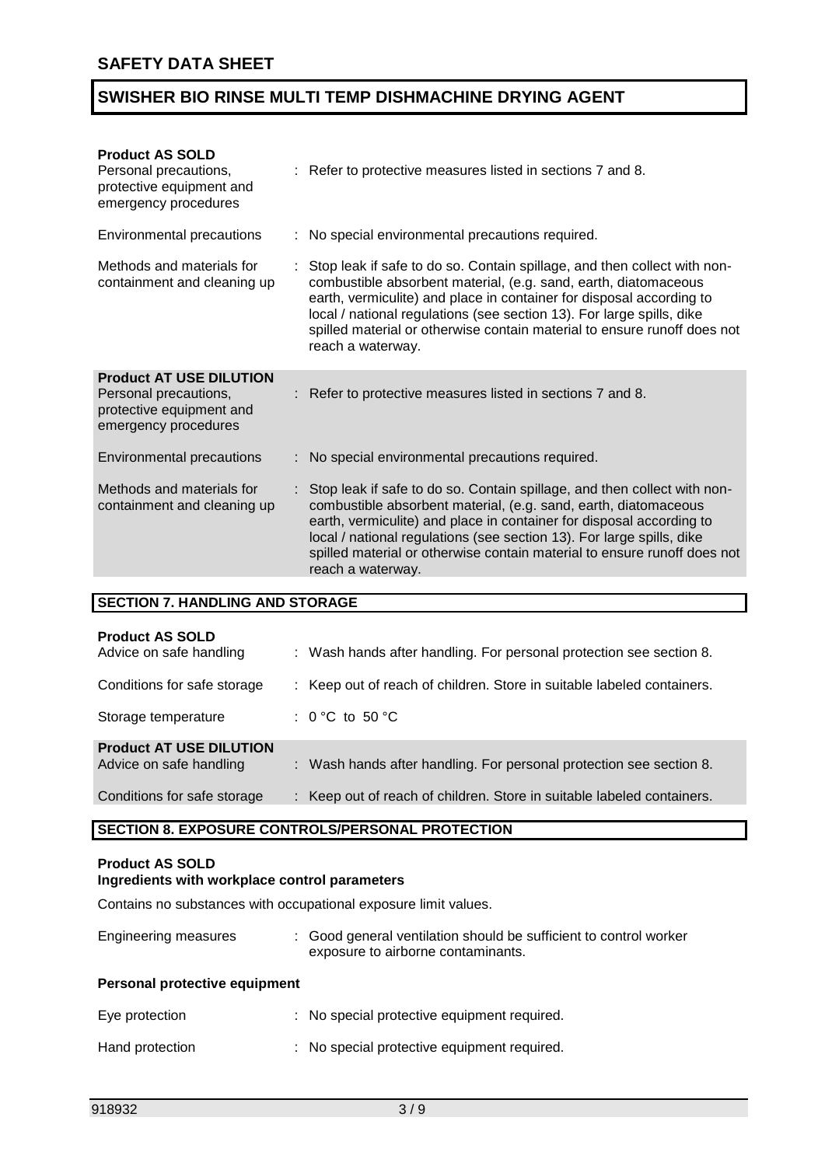| : Refer to protective measures listed in sections 7 and 8.                                                                                                                                                                                                                                                                                                                                    |
|-----------------------------------------------------------------------------------------------------------------------------------------------------------------------------------------------------------------------------------------------------------------------------------------------------------------------------------------------------------------------------------------------|
| : No special environmental precautions required.                                                                                                                                                                                                                                                                                                                                              |
| Stop leak if safe to do so. Contain spillage, and then collect with non-<br>combustible absorbent material, (e.g. sand, earth, diatomaceous<br>earth, vermiculite) and place in container for disposal according to<br>local / national regulations (see section 13). For large spills, dike<br>spilled material or otherwise contain material to ensure runoff does not<br>reach a waterway. |
| Refer to protective measures listed in sections 7 and 8.                                                                                                                                                                                                                                                                                                                                      |
| : No special environmental precautions required.                                                                                                                                                                                                                                                                                                                                              |
| Stop leak if safe to do so. Contain spillage, and then collect with non-<br>combustible absorbent material, (e.g. sand, earth, diatomaceous<br>earth, vermiculite) and place in container for disposal according to<br>local / national regulations (see section 13). For large spills, dike<br>spilled material or otherwise contain material to ensure runoff does not<br>reach a waterway. |
|                                                                                                                                                                                                                                                                                                                                                                                               |

### **SECTION 7. HANDLING AND STORAGE**

| <b>Product AS SOLD</b><br>Advice on safe handling         | : Wash hands after handling. For personal protection see section 8.    |
|-----------------------------------------------------------|------------------------------------------------------------------------|
| Conditions for safe storage                               | : Keep out of reach of children. Store in suitable labeled containers. |
| Storage temperature                                       | : $0^{\circ}$ C to 50 $^{\circ}$ C                                     |
| <b>Product AT USE DILUTION</b><br>Advice on safe handling | : Wash hands after handling. For personal protection see section 8.    |
| Conditions for safe storage                               | : Keep out of reach of children. Store in suitable labeled containers. |

#### **SECTION 8. EXPOSURE CONTROLS/PERSONAL PROTECTION**

#### **Product AS SOLD**

#### **Ingredients with workplace control parameters**

Contains no substances with occupational exposure limit values.

| <b>Engineering measures</b> | : Good general ventilation should be sufficient to control worker |
|-----------------------------|-------------------------------------------------------------------|
|                             | exposure to airborne contaminants.                                |

#### **Personal protective equipment**

| Eye protection  | : No special protective equipment required. |
|-----------------|---------------------------------------------|
| Hand protection | : No special protective equipment required. |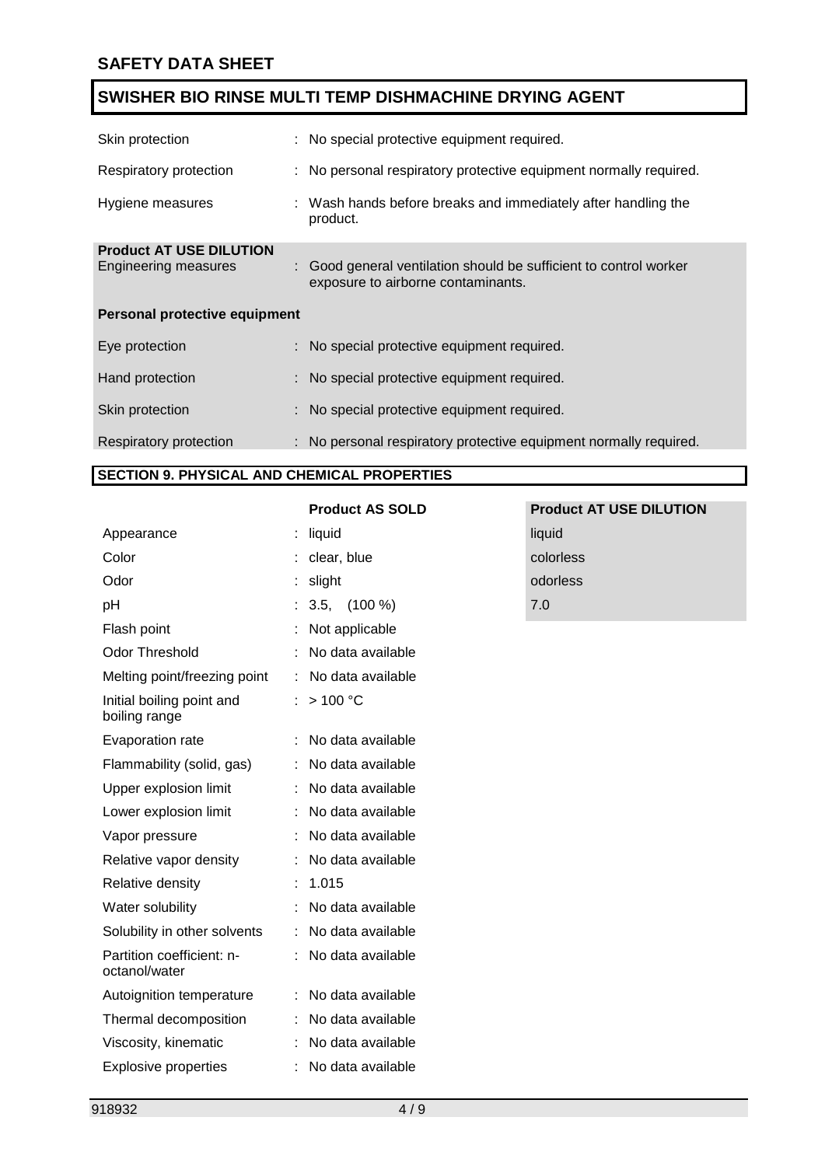| Skin protection                                               |  | : No special protective equipment required.                                                             |  |
|---------------------------------------------------------------|--|---------------------------------------------------------------------------------------------------------|--|
| Respiratory protection                                        |  | : No personal respiratory protective equipment normally required.                                       |  |
| Hygiene measures                                              |  | : Wash hands before breaks and immediately after handling the<br>product.                               |  |
| <b>Product AT USE DILUTION</b><br><b>Engineering measures</b> |  | : Good general ventilation should be sufficient to control worker<br>exposure to airborne contaminants. |  |
| <b>Personal protective equipment</b>                          |  |                                                                                                         |  |
| Eye protection                                                |  | : No special protective equipment required.                                                             |  |
| Hand protection                                               |  | : No special protective equipment required.                                                             |  |
| Skin protection                                               |  | : No special protective equipment required.                                                             |  |
| Respiratory protection                                        |  | : No personal respiratory protective equipment normally required.                                       |  |

#### **SECTION 9. PHYSICAL AND CHEMICAL PROPERTIES**

| Appearance                                 | liquid               | liquid |
|--------------------------------------------|----------------------|--------|
| Color                                      | clear, blue          | color  |
| Odor                                       | slight               | odorl  |
| рH                                         | $3.5, \quad (100\%)$ | 7.0    |
| Flash point                                | Not applicable       |        |
| <b>Odor Threshold</b>                      | No data available    |        |
| Melting point/freezing point               | No data available    |        |
| Initial boiling point and<br>boiling range | >100 °C              |        |
| Evaporation rate                           | No data available    |        |
| Flammability (solid, gas)                  | No data available    |        |
| Upper explosion limit                      | No data available    |        |
| Lower explosion limit                      | No data available    |        |
| Vapor pressure                             | No data available    |        |
| Relative vapor density                     | No data available    |        |
| Relative density                           | 1.015                |        |
| Water solubility                           | No data available    |        |
| Solubility in other solvents               | No data available    |        |
| Partition coefficient: n-<br>octanol/water | No data available    |        |
| Autoignition temperature                   | No data available    |        |
| Thermal decomposition                      | No data available    |        |
| Viscosity, kinematic                       | No data available    |        |
| <b>Explosive properties</b>                | No data available    |        |

# **Product AS SOLD Product AT USE DILUTION** colorless odorless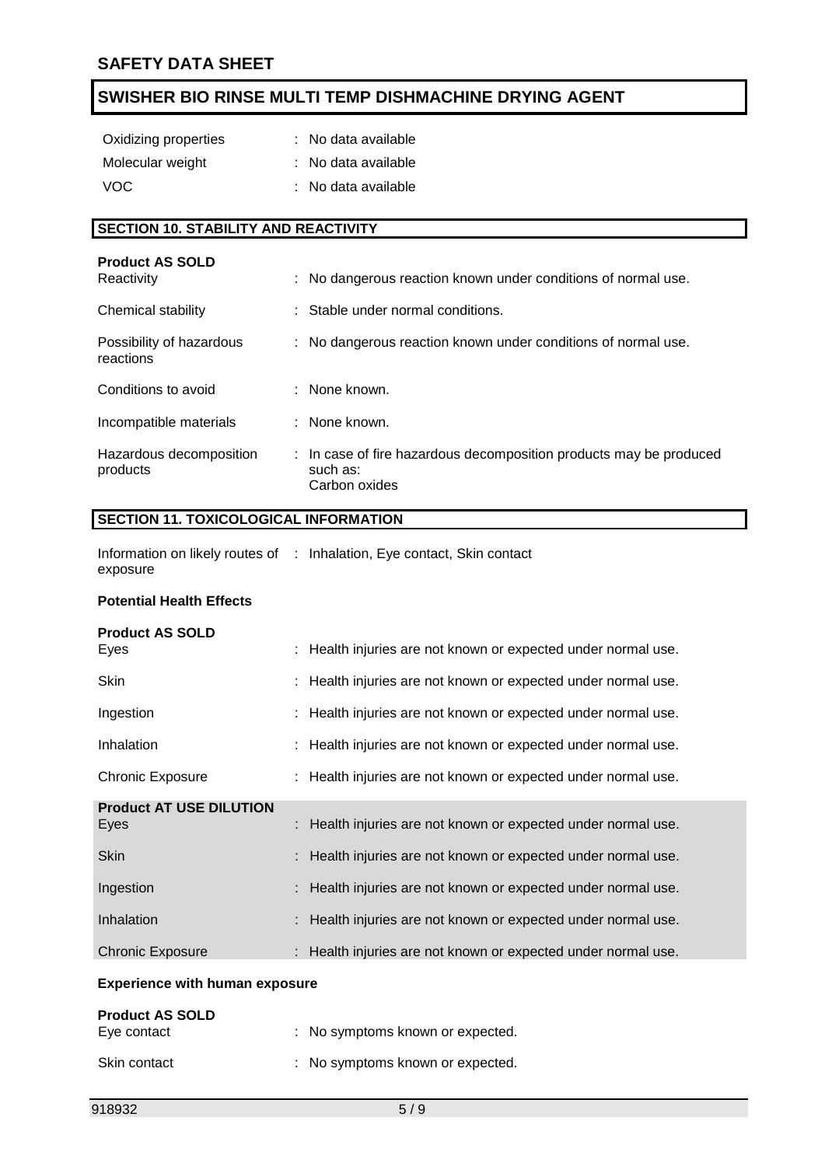| Oxidizing properties | : No data available |
|----------------------|---------------------|
| Molecular weight     | : No data available |
| VOC.                 | : No data available |

### **SECTION 10. STABILITY AND REACTIVITY**

| <b>Product AS SOLD</b><br>Reactivity  | : No dangerous reaction known under conditions of normal use.                                   |
|---------------------------------------|-------------------------------------------------------------------------------------------------|
| Chemical stability                    | : Stable under normal conditions.                                                               |
| Possibility of hazardous<br>reactions | : No dangerous reaction known under conditions of normal use.                                   |
| Conditions to avoid                   | : None known.                                                                                   |
| Incompatible materials                | : None known.                                                                                   |
| Hazardous decomposition<br>products   | : In case of fire hazardous decomposition products may be produced<br>such as:<br>Carbon oxides |

#### **SECTION 11. TOXICOLOGICAL INFORMATION**

Information on likely routes of : Inhalation, Eye contact, Skin contact exposure

#### **Potential Health Effects**

| <b>Product AS SOLD</b>                 |                                                               |
|----------------------------------------|---------------------------------------------------------------|
| Eyes                                   | : Health injuries are not known or expected under normal use. |
| <b>Skin</b>                            | : Health injuries are not known or expected under normal use. |
| Ingestion                              | : Health injuries are not known or expected under normal use. |
| Inhalation                             | : Health injuries are not known or expected under normal use. |
| <b>Chronic Exposure</b>                | : Health injuries are not known or expected under normal use. |
|                                        |                                                               |
| <b>Product AT USE DILUTION</b><br>Eyes | : Health injuries are not known or expected under normal use. |
| <b>Skin</b>                            | : Health injuries are not known or expected under normal use. |
| Ingestion                              | : Health injuries are not known or expected under normal use. |
| Inhalation                             | : Health injuries are not known or expected under normal use. |
| <b>Chronic Exposure</b>                | : Health injuries are not known or expected under normal use. |
|                                        |                                                               |

#### **Experience with human exposure**

| <b>Product AS SOLD</b><br>Eye contact | : No symptoms known or expected. |
|---------------------------------------|----------------------------------|
| Skin contact                          | : No symptoms known or expected. |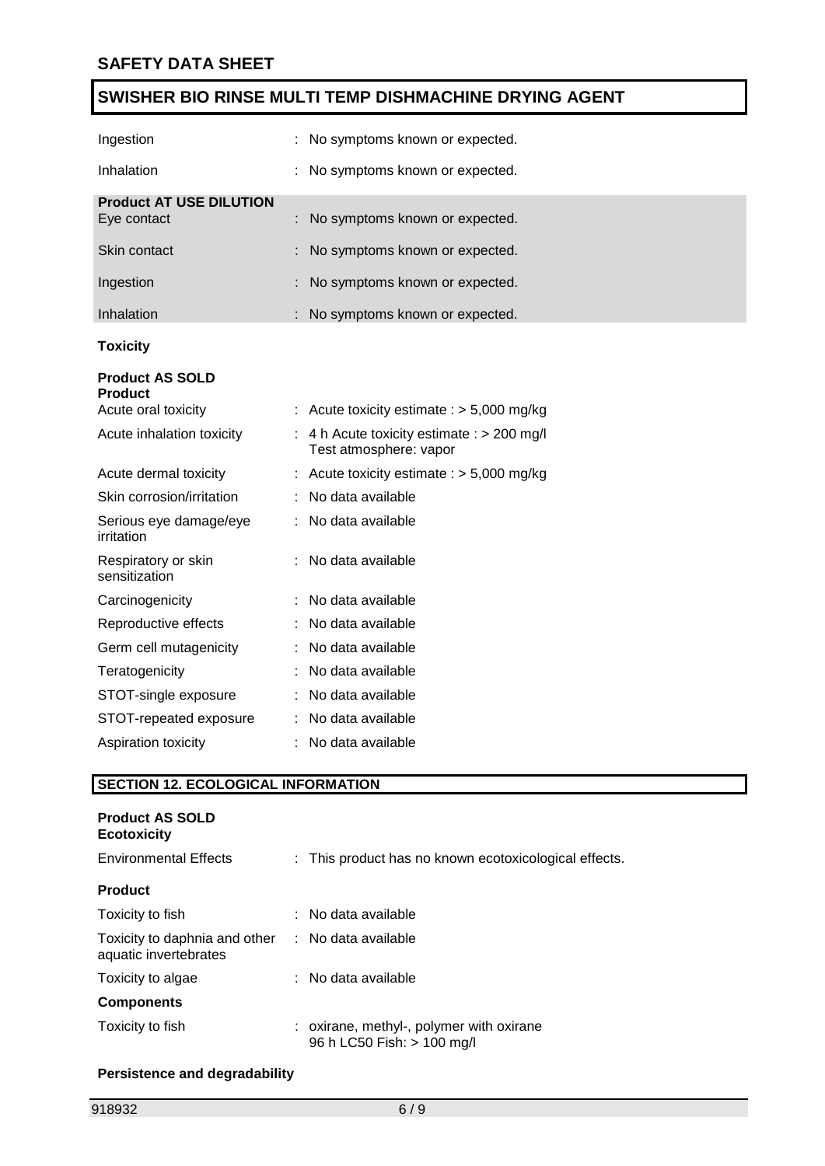| Ingestion                                     | No symptoms known or expected.                                         |
|-----------------------------------------------|------------------------------------------------------------------------|
| Inhalation                                    | No symptoms known or expected.                                         |
| <b>Product AT USE DILUTION</b><br>Eye contact | No symptoms known or expected.                                         |
| Skin contact                                  | No symptoms known or expected.                                         |
| Ingestion                                     | No symptoms known or expected.                                         |
| Inhalation                                    | No symptoms known or expected.                                         |
| <b>Toxicity</b>                               |                                                                        |
| <b>Product AS SOLD</b><br><b>Product</b>      |                                                                        |
| Acute oral toxicity                           | : Acute toxicity estimate : $> 5,000$ mg/kg                            |
| Acute inhalation toxicity                     | : 4 h Acute toxicity estimate : $> 200$ mg/l<br>Test atmosphere: vapor |
| Acute dermal toxicity                         | : Acute toxicity estimate : $> 5,000$ mg/kg                            |
| Skin corrosion/irritation                     | No data available                                                      |
| Serious eye damage/eye<br>irritation          | No data available                                                      |
| Respiratory or skin<br>sensitization          | No data available                                                      |
| Carcinogenicity                               | No data available                                                      |
| Reproductive effects                          | No data available                                                      |
| Germ cell mutagenicity                        | No data available                                                      |
| Teratogenicity                                | No data available                                                      |
| STOT-single exposure                          | No data available                                                      |
| STOT-repeated exposure                        | No data available                                                      |
| Aspiration toxicity                           | No data available                                                      |

### **SECTION 12. ECOLOGICAL INFORMATION**

| <b>Product AS SOLD</b><br><b>Ecotoxicity</b>           |                                                                        |
|--------------------------------------------------------|------------------------------------------------------------------------|
| <b>Environmental Effects</b>                           | : This product has no known ecotoxicological effects.                  |
| <b>Product</b>                                         |                                                                        |
| Toxicity to fish                                       | $:$ No data available                                                  |
| Toxicity to daphnia and other<br>aquatic invertebrates | : No data available                                                    |
| Toxicity to algae                                      | $\therefore$ No data available                                         |
| <b>Components</b>                                      |                                                                        |
| Toxicity to fish                                       | : oxirane, methyl-, polymer with oxirane<br>96 h LC50 Fish: > 100 mg/l |

#### **Persistence and degradability**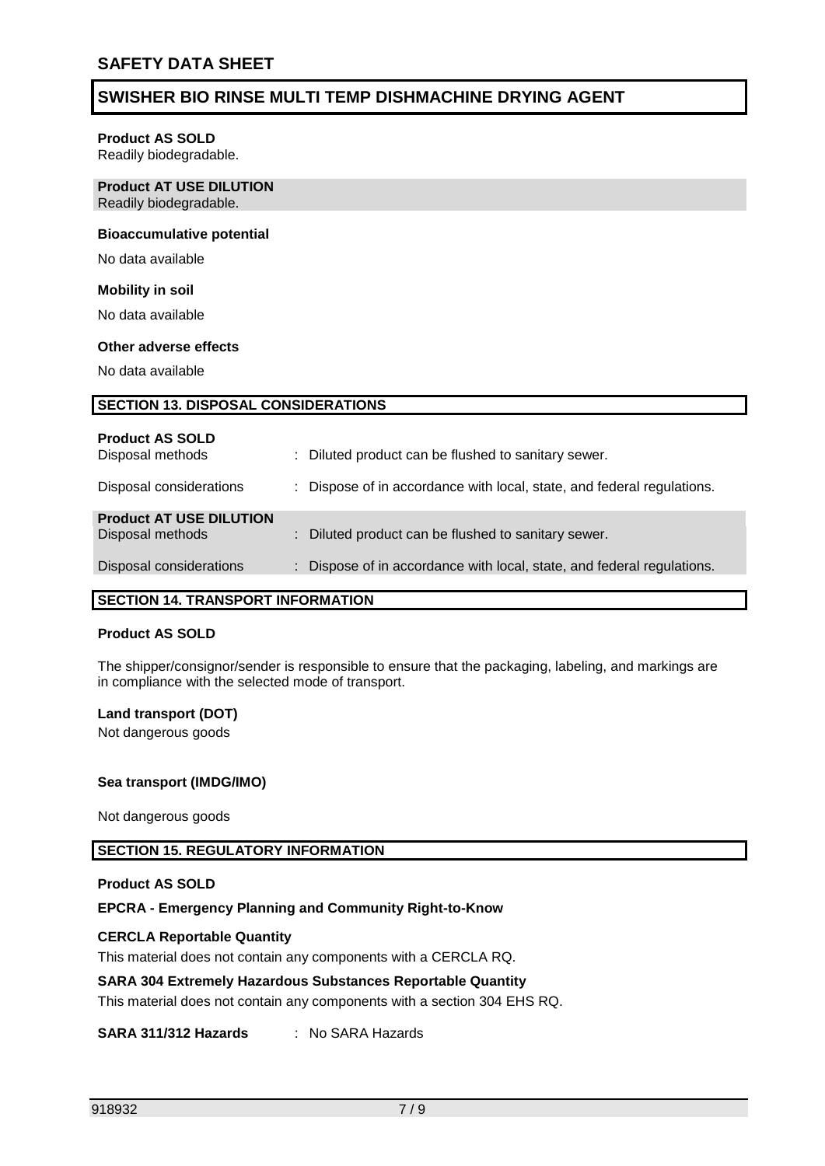#### **Product AS SOLD**

Readily biodegradable.

#### **Product AT USE DILUTION** Readily biodegradable.

#### **Bioaccumulative potential**

No data available

#### **Mobility in soil**

No data available

#### **Other adverse effects**

No data available

#### **SECTION 13. DISPOSAL CONSIDERATIONS**

| <b>Product AS SOLD</b><br>Disposal methods | : Diluted product can be flushed to sanitary sewer.                    |
|--------------------------------------------|------------------------------------------------------------------------|
| Disposal considerations                    | : Dispose of in accordance with local, state, and federal regulations. |
| <b>Product AT USE DILUTION</b>             |                                                                        |
| Disposal methods                           | : Diluted product can be flushed to sanitary sewer.                    |
| Disposal considerations                    | : Dispose of in accordance with local, state, and federal regulations. |
|                                            |                                                                        |

#### **SECTION 14. TRANSPORT INFORMATION**

#### **Product AS SOLD**

The shipper/consignor/sender is responsible to ensure that the packaging, labeling, and markings are in compliance with the selected mode of transport.

#### **Land transport (DOT)**

Not dangerous goods

#### **Sea transport (IMDG/IMO)**

Not dangerous goods

#### **SECTION 15. REGULATORY INFORMATION**

#### **Product AS SOLD**

#### **EPCRA - Emergency Planning and Community Right-to-Know**

#### **CERCLA Reportable Quantity**

This material does not contain any components with a CERCLA RQ.

#### **SARA 304 Extremely Hazardous Substances Reportable Quantity**

This material does not contain any components with a section 304 EHS RQ.

#### **SARA 311/312 Hazards** : No SARA Hazards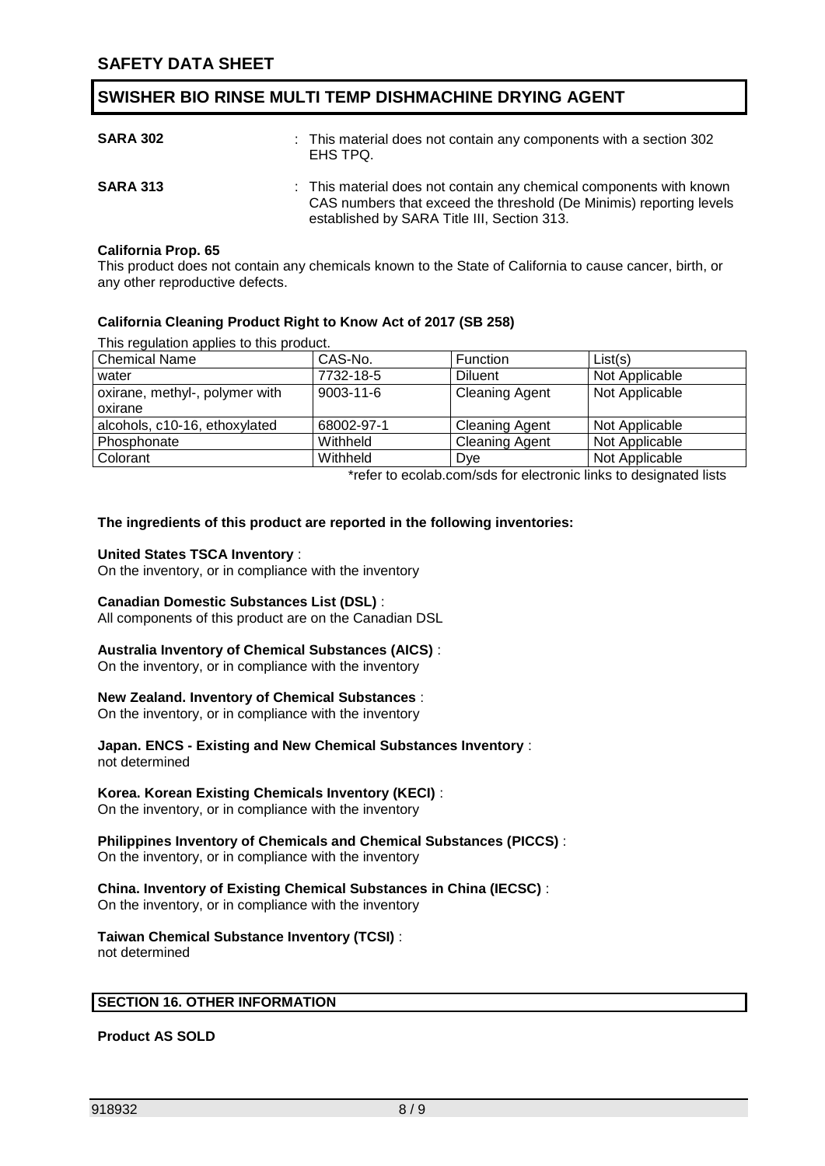| <b>SARA 302</b> | : This material does not contain any components with a section 302<br>EHS TPQ.                                                                                                            |
|-----------------|-------------------------------------------------------------------------------------------------------------------------------------------------------------------------------------------|
| <b>SARA 313</b> | : This material does not contain any chemical components with known<br>CAS numbers that exceed the threshold (De Minimis) reporting levels<br>established by SARA Title III, Section 313. |

#### **California Prop. 65**

This product does not contain any chemicals known to the State of California to cause cancer, birth, or any other reproductive defects.

#### **California Cleaning Product Right to Know Act of 2017 (SB 258)**

This regulation applies to this product.

| <b>Chemical Name</b>           | CAS-No.         | Function              | List(s)        |
|--------------------------------|-----------------|-----------------------|----------------|
| water                          | 7732-18-5       | <b>Diluent</b>        | Not Applicable |
| oxirane, methyl-, polymer with | $9003 - 11 - 6$ | <b>Cleaning Agent</b> | Not Applicable |
| oxirane                        |                 |                       |                |
| alcohols, c10-16, ethoxylated  | 68002-97-1      | <b>Cleaning Agent</b> | Not Applicable |
| Phosphonate                    | Withheld        | <b>Cleaning Agent</b> | Not Applicable |
| Colorant                       | Withheld        | Dye                   | Not Applicable |

\*refer to ecolab.com/sds for electronic links to designated lists

#### **The ingredients of this product are reported in the following inventories:**

#### **United States TSCA Inventory** :

On the inventory, or in compliance with the inventory

#### **Canadian Domestic Substances List (DSL)** :

All components of this product are on the Canadian DSL

#### **Australia Inventory of Chemical Substances (AICS)** :

On the inventory, or in compliance with the inventory

#### **New Zealand. Inventory of Chemical Substances** :

On the inventory, or in compliance with the inventory

#### **Japan. ENCS - Existing and New Chemical Substances Inventory** :

not determined

#### **Korea. Korean Existing Chemicals Inventory (KECI)** :

On the inventory, or in compliance with the inventory

#### **Philippines Inventory of Chemicals and Chemical Substances (PICCS)** :

On the inventory, or in compliance with the inventory

#### **China. Inventory of Existing Chemical Substances in China (IECSC)** :

On the inventory, or in compliance with the inventory

#### **Taiwan Chemical Substance Inventory (TCSI)** :

not determined

#### **SECTION 16. OTHER INFORMATION**

**Product AS SOLD**